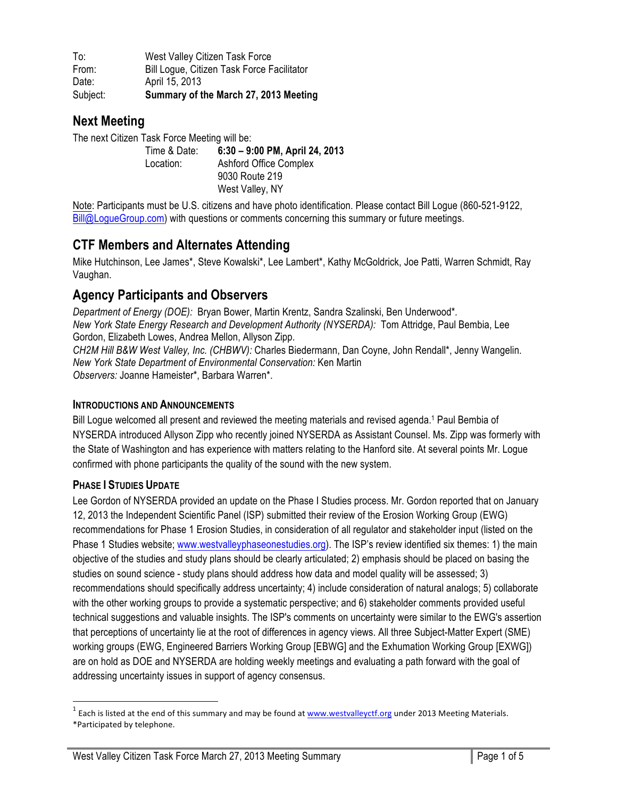To: West Valley Citizen Task Force From: Bill Logue, Citizen Task Force Facilitator Date: April 15, 2013 Subject: **Summary of the March 27, 2013 Meeting**

# **Next Meeting**

The next Citizen Task Force Meeting will be: Time & Date: **6:30 – 9:00 PM, April 24, 2013** Location: Ashford Office Complex 9030 Route 219 West Valley, NY

Note: Participants must be U.S. citizens and have photo identification. Please contact Bill Logue (860-521-9122, Bill@LogueGroup.com) with questions or comments concerning this summary or future meetings.

# **CTF Members and Alternates Attending**

Mike Hutchinson, Lee James\*, Steve Kowalski\*, Lee Lambert\*, Kathy McGoldrick, Joe Patti, Warren Schmidt, Ray Vaughan.

# **Agency Participants and Observers**

*Department of Energy (DOE):* Bryan Bower, Martin Krentz, Sandra Szalinski, Ben Underwood\**. New York State Energy Research and Development Authority (NYSERDA):* Tom Attridge, Paul Bembia, Lee Gordon, Elizabeth Lowes, Andrea Mellon, Allyson Zipp. *CH2M Hill B&W West Valley, Inc. (CHBWV):* Charles Biedermann, Dan Coyne, John Rendall\*, Jenny Wangelin. *New York State Department of Environmental Conservation:* Ken Martin *Observers:* Joanne Hameister\*, Barbara Warren\*.

#### **INTRODUCTIONS AND ANNOUNCEMENTS**

Bill Logue welcomed all present and reviewed the meeting materials and revised agenda. <sup>1</sup> Paul Bembia of NYSERDA introduced Allyson Zipp who recently joined NYSERDA as Assistant Counsel. Ms. Zipp was formerly with the State of Washington and has experience with matters relating to the Hanford site. At several points Mr. Logue confirmed with phone participants the quality of the sound with the new system.

## **PHASE I STUDIES UPDATE**

Lee Gordon of NYSERDA provided an update on the Phase I Studies process. Mr. Gordon reported that on January 12, 2013 the Independent Scientific Panel (ISP) submitted their review of the Erosion Working Group (EWG) recommendations for Phase 1 Erosion Studies, in consideration of all regulator and stakeholder input (listed on the Phase 1 Studies website; www.westvalleyphaseonestudies.org). The ISP's review identified six themes: 1) the main objective of the studies and study plans should be clearly articulated; 2) emphasis should be placed on basing the studies on sound science - study plans should address how data and model quality will be assessed; 3) recommendations should specifically address uncertainty; 4) include consideration of natural analogs; 5) collaborate with the other working groups to provide a systematic perspective; and 6) stakeholder comments provided useful technical suggestions and valuable insights. The ISP's comments on uncertainty were similar to the EWG's assertion that perceptions of uncertainty lie at the root of differences in agency views. All three Subject-Matter Expert (SME) working groups (EWG, Engineered Barriers Working Group [EBWG] and the Exhumation Working Group [EXWG]) are on hold as DOE and NYSERDA are holding weekly meetings and evaluating a path forward with the goal of addressing uncertainty issues in support of agency consensus.

 $1$  Each is listed at the end of this summary and may be found at  $www.westvalleyctf.org$  under 2013 Meeting Materials. \*Participated by telephone.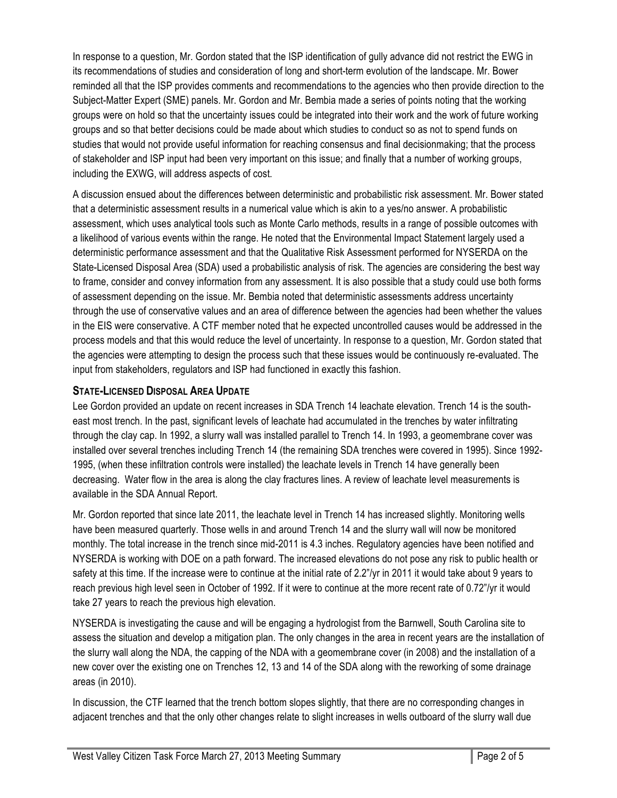In response to a question, Mr. Gordon stated that the ISP identification of gully advance did not restrict the EWG in its recommendations of studies and consideration of long and short-term evolution of the landscape. Mr. Bower reminded all that the ISP provides comments and recommendations to the agencies who then provide direction to the Subject-Matter Expert (SME) panels. Mr. Gordon and Mr. Bembia made a series of points noting that the working groups were on hold so that the uncertainty issues could be integrated into their work and the work of future working groups and so that better decisions could be made about which studies to conduct so as not to spend funds on studies that would not provide useful information for reaching consensus and final decisionmaking; that the process of stakeholder and ISP input had been very important on this issue; and finally that a number of working groups, including the EXWG, will address aspects of cost.

A discussion ensued about the differences between deterministic and probabilistic risk assessment. Mr. Bower stated that a deterministic assessment results in a numerical value which is akin to a yes/no answer. A probabilistic assessment, which uses analytical tools such as Monte Carlo methods, results in a range of possible outcomes with a likelihood of various events within the range. He noted that the Environmental Impact Statement largely used a deterministic performance assessment and that the Qualitative Risk Assessment performed for NYSERDA on the State-Licensed Disposal Area (SDA) used a probabilistic analysis of risk. The agencies are considering the best way to frame, consider and convey information from any assessment. It is also possible that a study could use both forms of assessment depending on the issue. Mr. Bembia noted that deterministic assessments address uncertainty through the use of conservative values and an area of difference between the agencies had been whether the values in the EIS were conservative. A CTF member noted that he expected uncontrolled causes would be addressed in the process models and that this would reduce the level of uncertainty. In response to a question, Mr. Gordon stated that the agencies were attempting to design the process such that these issues would be continuously re-evaluated. The input from stakeholders, regulators and ISP had functioned in exactly this fashion.

## **STATE-LICENSED DISPOSAL AREA UPDATE**

Lee Gordon provided an update on recent increases in SDA Trench 14 leachate elevation. Trench 14 is the southeast most trench. In the past, significant levels of leachate had accumulated in the trenches by water infiltrating through the clay cap. In 1992, a slurry wall was installed parallel to Trench 14. In 1993, a geomembrane cover was installed over several trenches including Trench 14 (the remaining SDA trenches were covered in 1995). Since 1992- 1995, (when these infiltration controls were installed) the leachate levels in Trench 14 have generally been decreasing. Water flow in the area is along the clay fractures lines. A review of leachate level measurements is available in the SDA Annual Report.

Mr. Gordon reported that since late 2011, the leachate level in Trench 14 has increased slightly. Monitoring wells have been measured quarterly. Those wells in and around Trench 14 and the slurry wall will now be monitored monthly. The total increase in the trench since mid-2011 is 4.3 inches. Regulatory agencies have been notified and NYSERDA is working with DOE on a path forward. The increased elevations do not pose any risk to public health or safety at this time. If the increase were to continue at the initial rate of 2.2"/yr in 2011 it would take about 9 years to reach previous high level seen in October of 1992. If it were to continue at the more recent rate of 0.72"/yr it would take 27 years to reach the previous high elevation.

NYSERDA is investigating the cause and will be engaging a hydrologist from the Barnwell, South Carolina site to assess the situation and develop a mitigation plan. The only changes in the area in recent years are the installation of the slurry wall along the NDA, the capping of the NDA with a geomembrane cover (in 2008) and the installation of a new cover over the existing one on Trenches 12, 13 and 14 of the SDA along with the reworking of some drainage areas (in 2010).

In discussion, the CTF learned that the trench bottom slopes slightly, that there are no corresponding changes in adjacent trenches and that the only other changes relate to slight increases in wells outboard of the slurry wall due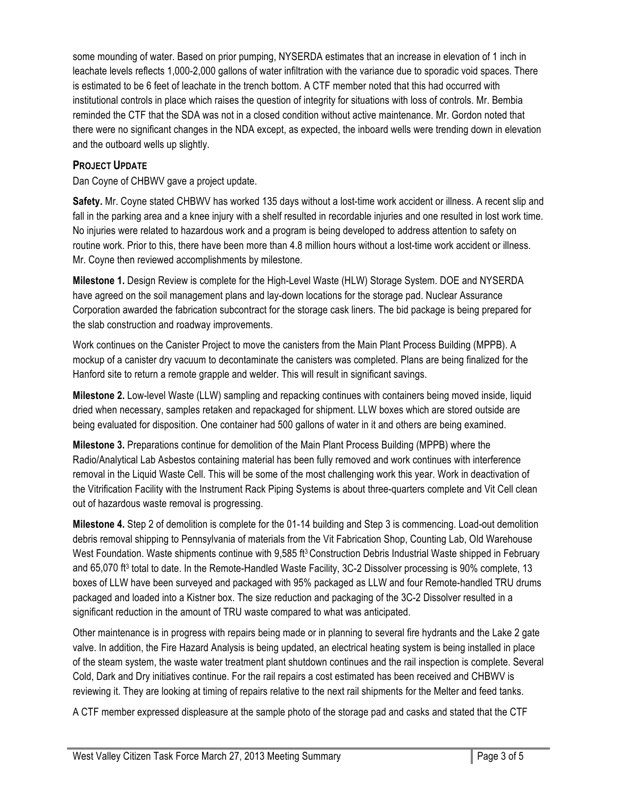some mounding of water. Based on prior pumping, NYSERDA estimates that an increase in elevation of 1 inch in leachate levels reflects 1,000-2,000 gallons of water infiltration with the variance due to sporadic void spaces. There is estimated to be 6 feet of leachate in the trench bottom. A CTF member noted that this had occurred with institutional controls in place which raises the question of integrity for situations with loss of controls. Mr. Bembia reminded the CTF that the SDA was not in a closed condition without active maintenance. Mr. Gordon noted that there were no significant changes in the NDA except, as expected, the inboard wells were trending down in elevation and the outboard wells up slightly.

#### **PROJECT UPDATE**

Dan Coyne of CHBWV gave a project update.

**Safety.** Mr. Coyne stated CHBWV has worked 135 days without a lost-time work accident or illness. A recent slip and fall in the parking area and a knee injury with a shelf resulted in recordable injuries and one resulted in lost work time. No injuries were related to hazardous work and a program is being developed to address attention to safety on routine work. Prior to this, there have been more than 4.8 million hours without a lost-time work accident or illness. Mr. Coyne then reviewed accomplishments by milestone.

**Milestone 1.** Design Review is complete for the High-Level Waste (HLW) Storage System. DOE and NYSERDA have agreed on the soil management plans and lay-down locations for the storage pad. Nuclear Assurance Corporation awarded the fabrication subcontract for the storage cask liners. The bid package is being prepared for the slab construction and roadway improvements.

Work continues on the Canister Project to move the canisters from the Main Plant Process Building (MPPB). A mockup of a canister dry vacuum to decontaminate the canisters was completed. Plans are being finalized for the Hanford site to return a remote grapple and welder. This will result in significant savings.

**Milestone 2.** Low-level Waste (LLW) sampling and repacking continues with containers being moved inside, liquid dried when necessary, samples retaken and repackaged for shipment. LLW boxes which are stored outside are being evaluated for disposition. One container had 500 gallons of water in it and others are being examined.

**Milestone 3.** Preparations continue for demolition of the Main Plant Process Building (MPPB) where the Radio/Analytical Lab Asbestos containing material has been fully removed and work continues with interference removal in the Liquid Waste Cell. This will be some of the most challenging work this year. Work in deactivation of the Vitrification Facility with the Instrument Rack Piping Systems is about three-quarters complete and Vit Cell clean out of hazardous waste removal is progressing.

**Milestone 4.** Step 2 of demolition is complete for the 01-14 building and Step 3 is commencing. Load-out demolition debris removal shipping to Pennsylvania of materials from the Vit Fabrication Shop, Counting Lab, Old Warehouse West Foundation. Waste shipments continue with 9,585 ft<sup>3</sup> Construction Debris Industrial Waste shipped in February and 65,070 ft<sup>3</sup> total to date. In the Remote-Handled Waste Facility, 3C-2 Dissolver processing is 90% complete, 13 boxes of LLW have been surveyed and packaged with 95% packaged as LLW and four Remote-handled TRU drums packaged and loaded into a Kistner box. The size reduction and packaging of the 3C-2 Dissolver resulted in a significant reduction in the amount of TRU waste compared to what was anticipated.

Other maintenance is in progress with repairs being made or in planning to several fire hydrants and the Lake 2 gate valve. In addition, the Fire Hazard Analysis is being updated, an electrical heating system is being installed in place of the steam system, the waste water treatment plant shutdown continues and the rail inspection is complete. Several Cold, Dark and Dry initiatives continue. For the rail repairs a cost estimated has been received and CHBWV is reviewing it. They are looking at timing of repairs relative to the next rail shipments for the Melter and feed tanks.

A CTF member expressed displeasure at the sample photo of the storage pad and casks and stated that the CTF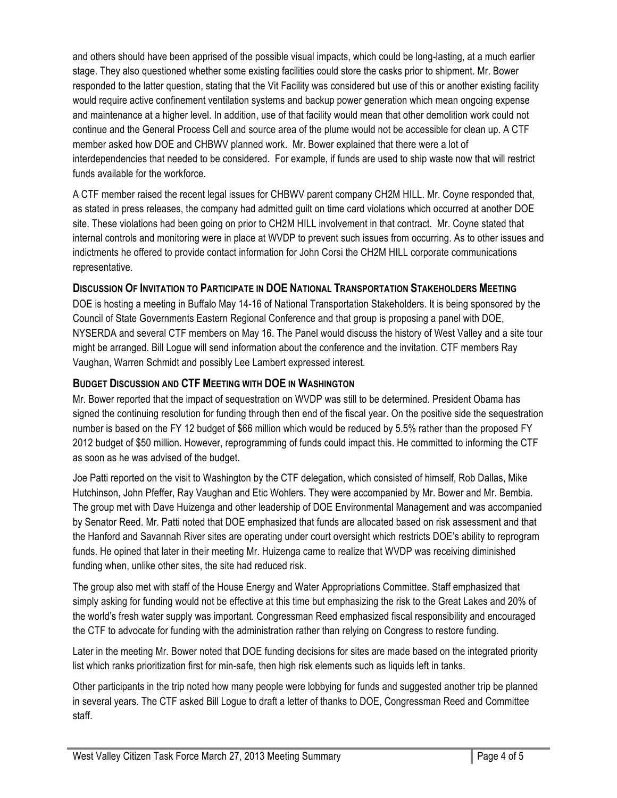and others should have been apprised of the possible visual impacts, which could be long-lasting, at a much earlier stage. They also questioned whether some existing facilities could store the casks prior to shipment. Mr. Bower responded to the latter question, stating that the Vit Facility was considered but use of this or another existing facility would require active confinement ventilation systems and backup power generation which mean ongoing expense and maintenance at a higher level. In addition, use of that facility would mean that other demolition work could not continue and the General Process Cell and source area of the plume would not be accessible for clean up. A CTF member asked how DOE and CHBWV planned work. Mr. Bower explained that there were a lot of interdependencies that needed to be considered. For example, if funds are used to ship waste now that will restrict funds available for the workforce.

A CTF member raised the recent legal issues for CHBWV parent company CH2M HILL. Mr. Coyne responded that, as stated in press releases, the company had admitted guilt on time card violations which occurred at another DOE site. These violations had been going on prior to CH2M HILL involvement in that contract. Mr. Coyne stated that internal controls and monitoring were in place at WVDP to prevent such issues from occurring. As to other issues and indictments he offered to provide contact information for John Corsi the CH2M HILL corporate communications representative.

## **DISCUSSION OF INVITATION TO PARTICIPATE IN DOE NATIONAL TRANSPORTATION STAKEHOLDERS MEETING**

DOE is hosting a meeting in Buffalo May 14-16 of National Transportation Stakeholders. It is being sponsored by the Council of State Governments Eastern Regional Conference and that group is proposing a panel with DOE, NYSERDA and several CTF members on May 16. The Panel would discuss the history of West Valley and a site tour might be arranged. Bill Logue will send information about the conference and the invitation. CTF members Ray Vaughan, Warren Schmidt and possibly Lee Lambert expressed interest.

## **BUDGET DISCUSSION AND CTF MEETING WITH DOE IN WASHINGTON**

Mr. Bower reported that the impact of sequestration on WVDP was still to be determined. President Obama has signed the continuing resolution for funding through then end of the fiscal year. On the positive side the sequestration number is based on the FY 12 budget of \$66 million which would be reduced by 5.5% rather than the proposed FY 2012 budget of \$50 million. However, reprogramming of funds could impact this. He committed to informing the CTF as soon as he was advised of the budget.

Joe Patti reported on the visit to Washington by the CTF delegation, which consisted of himself, Rob Dallas, Mike Hutchinson, John Pfeffer, Ray Vaughan and Etic Wohlers. They were accompanied by Mr. Bower and Mr. Bembia. The group met with Dave Huizenga and other leadership of DOE Environmental Management and was accompanied by Senator Reed. Mr. Patti noted that DOE emphasized that funds are allocated based on risk assessment and that the Hanford and Savannah River sites are operating under court oversight which restricts DOE's ability to reprogram funds. He opined that later in their meeting Mr. Huizenga came to realize that WVDP was receiving diminished funding when, unlike other sites, the site had reduced risk.

The group also met with staff of the House Energy and Water Appropriations Committee. Staff emphasized that simply asking for funding would not be effective at this time but emphasizing the risk to the Great Lakes and 20% of the world's fresh water supply was important. Congressman Reed emphasized fiscal responsibility and encouraged the CTF to advocate for funding with the administration rather than relying on Congress to restore funding.

Later in the meeting Mr. Bower noted that DOE funding decisions for sites are made based on the integrated priority list which ranks prioritization first for min-safe, then high risk elements such as liquids left in tanks.

Other participants in the trip noted how many people were lobbying for funds and suggested another trip be planned in several years. The CTF asked Bill Logue to draft a letter of thanks to DOE, Congressman Reed and Committee staff.